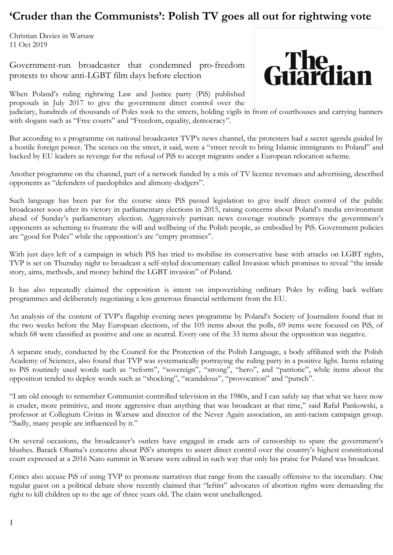## 'Cruder than the Communists': Polish TV goes all out for rightwing vote

Christian Davies in Warsaw 11 Oct 2019

Government-run broadcaster that condemned pro-freedom protests to show anti-LGBT film days before election

When Poland's ruling rightwing Law and Justice party (PiS) published proposals in July 2017 to give the government direct control over the

judiciary, hundreds of thousands of Poles took to the streets, holding vigils in front of courthouses and carrying banners with slogans such as "Free courts" and "Freedom, equality, democracy".

But according to a programme on national broadcaster TVP's news channel, the protesters had a secret agenda guided by a hostile foreign power. The scenes on the street, it said, were a "street revolt to bring Islamic immigrants to Poland" and backed by EU leaders as revenge for the refusal of PiS to accept migrants under a European relocation scheme.

Another programme on the channel, part of a network funded by a mix of TV licence revenues and advertising, described opponents as "defenders of paedophiles and alimony-dodgers".

Such language has been par for the course since PiS passed legislation to give itself direct control of the public broadcaster soon after its victory in parliamentary elections in 2015, raising concerns about Poland's media environment ahead of Sunday's parliamentary election. Aggressively partisan news coverage routinely portrays the government's opponents as scheming to frustrate the will and wellbeing of the Polish people, as embodied by PiS. Government policies are "good for Poles" while the opposition's are "empty promises".

With just days left of a campaign in which PiS has tried to mobilise its conservative base with attacks on LGBT rights, TVP is set on Thursday night to broadcast a self-styled documentary called Invasion which promises to reveal "the inside story, aims, methods, and money behind the LGBT invasion" of Poland.

It has also repeatedly claimed the opposition is intent on impoverishing ordinary Poles by rolling back welfare programmes and deliberately negotiating a less generous financial settlement from the EU.

An analysis of the content of TVP's flagship evening news programme by Poland's Society of Journalists found that in the two weeks before the May European elections, of the 105 items about the polls, 69 items were focused on PiS, of which 68 were classified as positive and one as neutral. Every one of the 33 items about the opposition was negative.

A separate study, conducted by the Council for the Protection of the Polish Language, a body affiliated with the Polish Academy of Sciences, also found that TVP was systematically portraying the ruling party in a positive light. Items relating to PiS routinely used words such as "reform", "sovereign", "strong", "hero", and "patriotic", while items about the opposition tended to deploy words such as "shocking", "scandalous", "provocation" and "putsch".

"I am old enough to remember Communist-controlled television in the 1980s, and I can safely say that what we have now is cruder, more primitive, and more aggressive than anything that was broadcast at that time," said Rafał Pankowski, a professor at Collegium Civitas in Warsaw and director of the Never Again association, an anti-racism campaign group. "Sadly, many people are influenced by it."

On several occasions, the broadcaster's outlets have engaged in crude acts of censorship to spare the government's blushes. Barack Obama's concerns about PiS's attempts to assert direct control over the country's highest constitutional court expressed at a 2016 Nato summit in Warsaw were edited in such way that only his praise for Poland was broadcast.

Critics also accuse PiS of using TVP to promote narratives that range from the casually offensive to the incendiary. One regular guest on a political debate show recently claimed that "leftist" advocates of abortion rights were demanding the right to kill children up to the age of three years old. The claim went unchallenged.